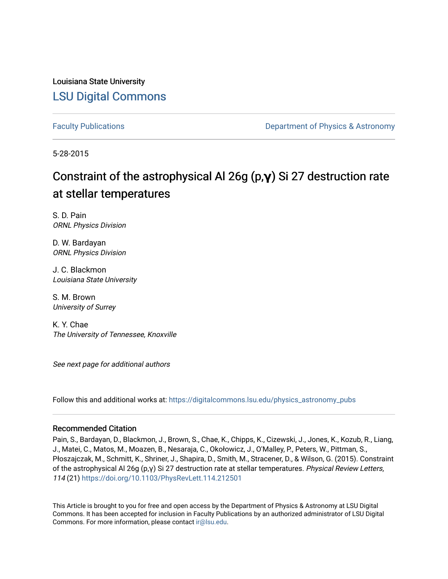Louisiana State University [LSU Digital Commons](https://digitalcommons.lsu.edu/)

[Faculty Publications](https://digitalcommons.lsu.edu/physics_astronomy_pubs) **Example 2** Constant Department of Physics & Astronomy

5-28-2015

## Constraint of the astrophysical Al 26g (p, γ) Si 27 destruction rate at stellar temperatures

S. D. Pain ORNL Physics Division

D. W. Bardayan ORNL Physics Division

J. C. Blackmon Louisiana State University

S. M. Brown University of Surrey

K. Y. Chae The University of Tennessee, Knoxville

See next page for additional authors

Follow this and additional works at: [https://digitalcommons.lsu.edu/physics\\_astronomy\\_pubs](https://digitalcommons.lsu.edu/physics_astronomy_pubs?utm_source=digitalcommons.lsu.edu%2Fphysics_astronomy_pubs%2F240&utm_medium=PDF&utm_campaign=PDFCoverPages) 

#### Recommended Citation

Pain, S., Bardayan, D., Blackmon, J., Brown, S., Chae, K., Chipps, K., Cizewski, J., Jones, K., Kozub, R., Liang, J., Matei, C., Matos, M., Moazen, B., Nesaraja, C., Okołowicz, J., O'Malley, P., Peters, W., Pittman, S., Płoszajczak, M., Schmitt, K., Shriner, J., Shapira, D., Smith, M., Stracener, D., & Wilson, G. (2015). Constraint of the astrophysical Al 26g (p,γ) Si 27 destruction rate at stellar temperatures. Physical Review Letters, 114 (21) <https://doi.org/10.1103/PhysRevLett.114.212501>

This Article is brought to you for free and open access by the Department of Physics & Astronomy at LSU Digital Commons. It has been accepted for inclusion in Faculty Publications by an authorized administrator of LSU Digital Commons. For more information, please contact [ir@lsu.edu](mailto:ir@lsu.edu).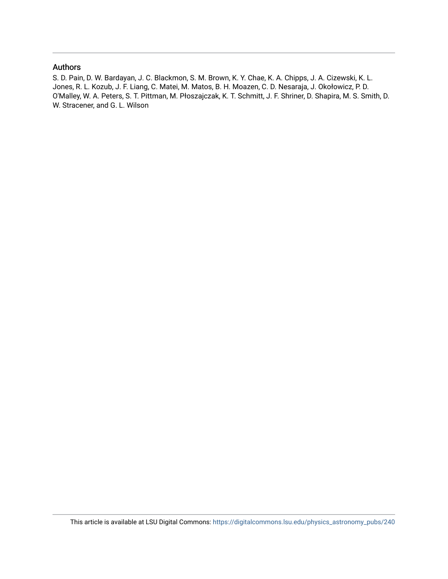### Authors

S. D. Pain, D. W. Bardayan, J. C. Blackmon, S. M. Brown, K. Y. Chae, K. A. Chipps, J. A. Cizewski, K. L. Jones, R. L. Kozub, J. F. Liang, C. Matei, M. Matos, B. H. Moazen, C. D. Nesaraja, J. Okołowicz, P. D. O'Malley, W. A. Peters, S. T. Pittman, M. Płoszajczak, K. T. Schmitt, J. F. Shriner, D. Shapira, M. S. Smith, D. W. Stracener, and G. L. Wilson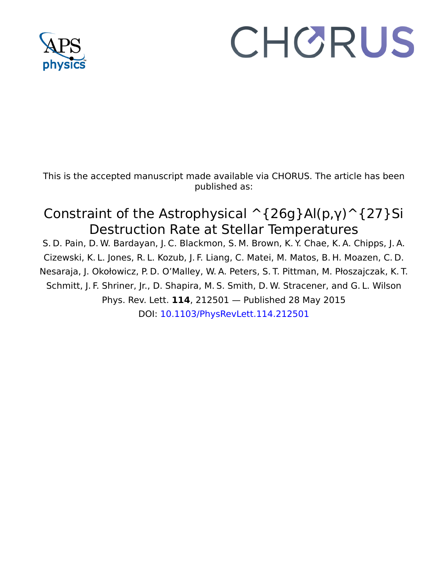

# CHORUS

This is the accepted manuscript made available via CHORUS. The article has been published as:

## Constraint of the Astrophysical  $\hat{\ }$ {26g}Al(p,γ) $\hat{\ }$ {27}Si Destruction Rate at Stellar Temperatures

S. D. Pain, D. W. Bardayan, J. C. Blackmon, S. M. Brown, K. Y. Chae, K. A. Chipps, J. A. Cizewski, K. L. Jones, R. L. Kozub, J. F. Liang, C. Matei, M. Matos, B. H. Moazen, C. D. Nesaraja, J. Okołowicz, P. D. O'Malley, W. A. Peters, S. T. Pittman, M. Płoszajczak, K. T. Schmitt, J. F. Shriner, Jr., D. Shapira, M. S. Smith, D. W. Stracener, and G. L. Wilson Phys. Rev. Lett. **114**, 212501 — Published 28 May 2015 DOI: [10.1103/PhysRevLett.114.212501](http://dx.doi.org/10.1103/PhysRevLett.114.212501)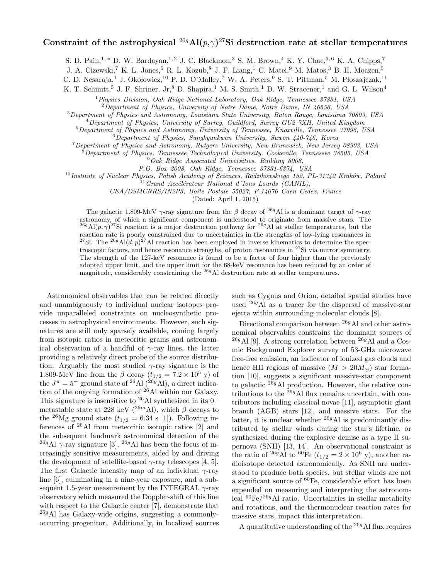### Constraint of the astrophysical  $^{26g}\text{Al}(p,\gamma)^{27}\text{Si}$  destruction rate at stellar temperatures

S. D. Pain,<sup>1,\*</sup> D. W. Bardayan,<sup>1,2</sup> J. C. Blackmon,<sup>3</sup> S. M. Brown,<sup>4</sup> K. Y. Chae,<sup>5,6</sup> K. A. Chipps,<sup>7</sup>

J. A. Cizewski,<sup>7</sup> K. L. Jones,<sup>5</sup> R. L. Kozub,<sup>8</sup> J. F. Liang,<sup>1</sup> C. Matei,<sup>9</sup> M. Matos,<sup>3</sup> B. H. Moazen,<sup>5</sup>

C. D. Nesaraja,<sup>1</sup> J. Okołowicz,<sup>10</sup> P. D. O'Malley,<sup>7</sup> W. A. Peters,<sup>9</sup> S. T. Pittman,<sup>5</sup> M. Płoszajczak,<sup>11</sup>

K. T. Schmitt,<sup>5</sup> J. F. Shriner, Jr,<sup>8</sup> D. Shapira,<sup>1</sup> M. S. Smith,<sup>1</sup> D. W. Stracener,<sup>1</sup> and G. L. Wilson<sup>4</sup>

<sup>1</sup> Physics Division, Oak Ridge National Laboratory, Oak Ridge, Tennessee 37831, USA

<sup>2</sup>Department of Physics, University of Notre Dame, Notre Dame, IN 46556, USA

<sup>3</sup>Department of Physics and Astronomy, Louisiana State University, Baton Rouge, Louisiana 70803, USA

<sup>4</sup>Department of Physics, University of Surrey, Guildford, Surrey GU2 7XH, United Kingdom

<sup>5</sup>Department of Physics and Astronomy, University of Tennessee, Knoxville, Tennessee 37996, USA

 $6$ Department of Physics, Sungkyunkwan University, Suwon 440-746, Korea

<sup>7</sup>Department of Physics and Astronomy, Rutgers University, New Brunswick, New Jersey 08903, USA

 $8$ Department of Physics, Tennessee Technological University, Cookeville, Tennessee 38505, USA

 $9$ Oak Ridge Associated Universities, Building 6008,

P.O. Box 2008, Oak Ridge, Tennessee 37831-6374, USA

 $^{10}$ Institute of Nuclear Physics, Polish Academy of Sciences, Radzikowskiego 152, PL-31342 Kraków, Poland

 $^{11}$ Grand Accélérateur National d'Ions Lourds (GANIL),

CEA/DSMCNRS/IN2P3, Boîte Postale 55027, F-14076 Caen Cedex, France

(Dated: April 1, 2015)

The galactic 1.809-MeV  $\gamma$ -ray signature from the  $\beta$  decay of <sup>26g</sup>Al is a dominant target of  $\gamma$ -ray astronomy, of which a significant component is understood to originate from massive stars. The <sup>26g</sup>Al(p,  $\gamma$ )<sup>27</sup>Si reaction is a major destruction pathway for <sup>26g</sup>Al at stellar temperatures, but the reaction rate is poorly constrained due to uncertainties in the strengths of low-lying resonances in <sup>27</sup>Si. The <sup>26g</sup>Al(d, p)<sup>27</sup>Al reaction has been employed in inverse kinematics to determine the spectroscopic factors, and hence resonance strengths, of proton resonances in <sup>27</sup>Si via mirror symmetry. The strength of the 127-keV resonance is found to be a factor of four higher than the previously adopted upper limit, and the upper limit for the 68-keV resonance has been reduced by an order of magnitude, considerably constraining the <sup>26g</sup>Al destruction rate at stellar temperatures.

Astronomical observables that can be related directly and unambiguously to individual nuclear isotopes provide unparalleled constraints on nucleosynthetic processes in astrophysical environments. However, such signatures are still only sparsely available, coming largely from isotopic ratios in meteoritic grains and astronomical observation of a handful of  $\gamma$ -ray lines, the latter providing a relatively direct probe of the source distribution. Arguably the most studied  $\gamma$ -ray signature is the 1.809-MeV line from the  $\beta$  decay  $(t_{1/2} = 7.2 \times 10^5 \text{ y})$  of the  $J^{\pi} = 5^+$  ground state of <sup>26</sup>Al (<sup>26g'</sup>Al), a direct indication of the ongoing formation of <sup>26</sup>Al within our Galaxy. This signature is insensitive to <sup>26</sup>Al synthesized in its  $0^+$ metastable state at 228 keV ( $^{26m}$ Al), which  $\beta$  decays to the <sup>26</sup>Mg ground state  $(t_{1/2} = 6.34 \text{ s } [1])$ . Following inferences of <sup>26</sup>Al from meteoritic isotopic ratios [2] and the subsequent landmark astronomical detection of the <sup>26g</sup>Al  $\gamma$ -ray signature [3], <sup>26g</sup>Al has been the focus of increasingly sensitive measurements, aided by and driving the development of satellite-based  $\gamma$ -ray telescopes [4, 5]. The first Galactic intensity map of an individual  $\gamma$ -ray line [6], culminating in a nine-year exposure, and a subsequent 1.5-year measurement by the INTEGRAL  $\gamma$ -ray observatory which measured the Doppler-shift of this line with respect to the Galactic center [7], demonstrate that  $^{26g}$ Al has Galaxy-wide origins, suggesting a commonlyoccurring progenitor. Additionally, in localized sources

such as Cygnus and Orion, detailed spatial studies have used <sup>26</sup><sup>g</sup>Al as a tracer for the dispersal of massive-star ejecta within surrounding molecular clouds [8].

Directional comparison between  $^{26g}$ Al and other astronomical observables constrains the dominant sources of <sup>26g</sup>Al [9]. A strong correlation between <sup>26g</sup>Al and a Cosmic Background Explorer survey of 53-GHz microwave free-free emission, an indicator of ionized gas clouds and hence HII regions of massive  $(M > 20 M_{\odot})$  star formation [10], suggests a significant massive-star component to galactic  $^{26g}\text{Al}$  production. However, the relative contributions to the  $^{26g}$ Al flux remains uncertain, with contributors including classical novae [11], asymptotic giant branch (AGB) stars [12], and massive stars. For the latter, it is unclear whether  $^{26g}$ Al is predominantly distributed by stellar winds during the star's lifetime, or synthesized during the explosive demise as a type II supernova (SNII) [13, 14]. An observational constraint is the ratio of <sup>26g</sup>Al to <sup>60</sup>Fe ( $t_{1/2} = 2 \times 10^6$  y), another radioisotope detected astronomically. As SNII are understood to produce both species, but stellar winds are not a significant source of  ${}^{60}Fe$ , considerable effort has been expended on measuring and interpreting the astronomical  ${}^{60}Fe/{}^{26g}$ Al ratio. Uncertainties in stellar metalicity and rotations, and the thermonuclear reaction rates for massive stars, impact this interpretation.

A quantitative understanding of the  $^{26g}$ Al flux requires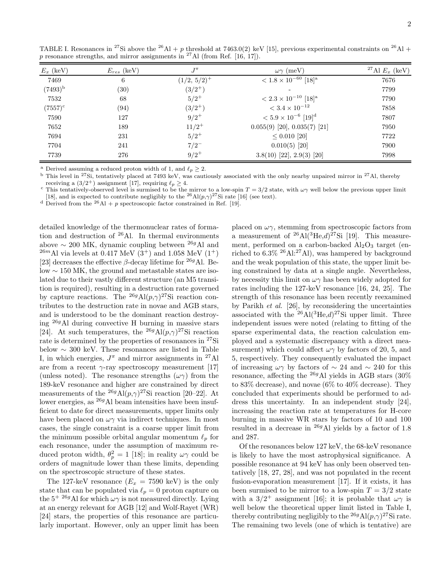| $E_x$ (keV)  | $E_{res}$ (keV)    | $J^{\pi}$      | $\omega\gamma$ (meV)                      | <sup>27</sup> Al $E_x$ (keV) |
|--------------|--------------------|----------------|-------------------------------------------|------------------------------|
| 7469         | 6                  | $(1/2, 5/2)^+$ | $< 1.8 \times 10^{-60}$ [18] <sup>a</sup> | 7676                         |
| $(7493)^{b}$ | $\left( 30\right)$ | $(3/2^{+})$    |                                           | 7799                         |
| 7532         | 68                 | $5/2^+$        | $< 2.3 \times 10^{-10}$ [18] <sup>a</sup> | 7790                         |
| $(7557)^c$   | (94)               | $(3/2^+)$      | $< 3.4 \times 10^{-12}$                   | 7858                         |
| 7590         | 127                | $9/2^+$        | $< 5.9 \times 10^{-6}$ [19] <sup>d</sup>  | 7807                         |
| 7652         | 189                | $11/2^+$       | $0.055(9)$ [20], $0.035(7)$ [21]          | 7950                         |
| 7694         | 231                | $5/2^+$        | $\leq 0.010$ [20]                         | 7722                         |
| 7704         | 241                | $7/2^{-}$      | $0.010(5)$ [20]                           | 7900                         |
| 7739         | 276                | $9/2^+$        | $3.8(10)$ [22], $2.9(3)$ [20]             | 7998                         |

TABLE I. Resonances in <sup>27</sup>Si above the <sup>26</sup>Al + p threshold at 7463.0(2) keV [15], previous experimental constraints on <sup>26</sup>Al +  $p$  resonance strengths, and mirror assignments in <sup>27</sup>Al (from Ref. [16, 17]).

Derived assuming a reduced proton width of 1, and  $\ell_p \geq 2$ .

<sup>b</sup> This level in <sup>27</sup>Si, tentatively placed at 7493 keV, was cautiously associated with the only nearby unpaired mirror in <sup>27</sup>Al, thereby receiving a  $(3/2^+)$  assignment [17], requiring  $\ell_p \ge 4$ .<br><sup>c</sup> This tentatively-observed level is surmised to be the mirror to a low-spin  $T = 3/2$  state, with  $\omega \gamma$  well below the previous upper limit

[18], and is expected to contribute negligibly to the <sup>26</sup>Al( $p, \gamma$ )<sup>27</sup>Si rate [16] (see text).

<sup>d</sup> Derived from the <sup>26</sup>Al + p spectroscopic factor constrained in Ref. [19].

detailed knowledge of the thermonuclear rates of formation and destruction of <sup>26</sup>Al. In thermal environments above  $\sim$  200 MK, dynamic coupling between <sup>26g</sup>Al and  $^{26m}\text{Al}$  via levels at 0.417 MeV (3<sup>+</sup>) and 1.058 MeV (1<sup>+</sup>) [23] decreases the effective  $\beta$ -decay lifetime for <sup>26g</sup>Al. Below ∼ 150 MK, the ground and metastable states are isolated due to their vastly different structure (an M5 transition is required), resulting in a destruction rate governed by capture reactions. The <sup>26g</sup>Al $(p,\gamma)$ <sup>27</sup>Si reaction contributes to the destruction rate in novae and AGB stars, and is understood to be the dominant reaction destroying <sup>26</sup><sup>g</sup>Al during convective H burning in massive stars [24]. At such temperatures, the <sup>26g</sup>Al $(p,\gamma)^{27}$ Si reaction rate is determined by the properties of resonances in <sup>27</sup>Si below ∼ 300 keV. These resonances are listed in Table I, in which energies,  $J^{\pi}$  and mirror assignments in <sup>27</sup>Al are from a recent  $\gamma$ -ray spectroscopy measurement [17] (unless noted). The resonance strengths  $(\omega \gamma)$  from the 189-keV resonance and higher are constrained by direct measurements of the <sup>26g</sup>Al $(p,\gamma)$ <sup>27</sup>Si reaction [20–22]. At lower energies, as  $^{26g}$ Al beam intensities have been insufficient to date for direct measurements, upper limits only have been placed on  $\omega\gamma$  via indirect techniques. In most cases, the single constraint is a coarse upper limit from the minimum possible orbital angular momentum  $\ell_p$  for each resonance, under the assumption of maximum reduced proton width,  $\theta_p^2 = 1$  [18]; in reality  $\omega \gamma$  could be orders of magnitude lower than these limits, depending on the spectroscopic structure of these states.

The 127-keV resonance  $(E_x = 7590 \text{ keV})$  is the only state that can be populated via  $\ell_p = 0$  proton capture on the  $5^{+}$   $^{26g}\mathrm{Al}$  for which  $\omega\gamma$  is not measured directly. Lying at an energy relevant for AGB [12] and Wolf-Rayet (WR) [24] stars, the properties of this resonance are particularly important. However, only an upper limit has been

placed on  $\omega\gamma$ , stemming from spectroscopic factors from a measurement of  $^{26}$ Al( $^{3}$ He, $d$ ) $^{27}$ Si [19]. This measurement, performed on a carbon-backed  $\text{Al}_2\text{O}_3$  target (enriched to  $6.3\%$  <sup>26</sup>Al:<sup>27</sup>Al), was hampered by background and the weak population of this state, the upper limit being constrained by data at a single angle. Nevertheless, by necessity this limit on  $\omega\gamma$  has been widely adopted for rates including the 127-keV resonance [16, 24, 25]. The strength of this resonance has been recently reexamined by Parikh et al. [26], by reconsidering the uncertainties associated with the  $^{26}$ Al( $^{3}$ He, $d$ ) $^{27}$ Si upper limit. Three independent issues were noted (relating to fitting of the sparse experimental data, the reaction calculation employed and a systematic discrepancy with a direct measurement) which could affect  $\omega\gamma$  by factors of 20, 5, and 5, respectively. They consequently evaluated the impact of increasing  $\omega\gamma$  by factors of ~ 24 and ~ 240 for this resonance, affecting the  $^{26g}$ Al yields in AGB stars (30%) to 83% decrease), and novae (6% to 40% decrease). They concluded that experiments should be performed to address this uncertainty. In an independent study [24], increasing the reaction rate at temperatures for H-core burning in massive WR stars by factors of 10 and 100 resulted in a decrease in <sup>26g</sup>Al yields by a factor of 1.8 and 287.

Of the resonances below 127 keV, the 68-keV resonance is likely to have the most astrophysical significance. A possible resonance at 94 keV has only been observed tentatively [18, 27, 28], and was not populated in the recent fusion-evaporation measurement [17]. If it exists, it has been surmised to be mirror to a low-spin  $T = 3/2$  state with a  $3/2^+$  assignment [16]; it is probable that  $\omega\gamma$  is well below the theoretical upper limit listed in Table I, thereby contributing negligibly to the <sup>26g</sup>Al $(p, \gamma)$ <sup>27</sup>Si rate. The remaining two levels (one of which is tentative) are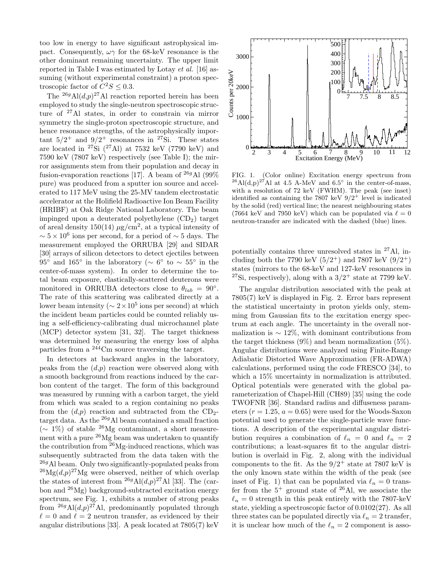too low in energy to have significant astrophysical impact. Consequently,  $\omega\gamma$  for the 68-keV resonance is the other dominant remaining uncertainty. The upper limit reported in Table I was estimated by Lotay et al. [16] assuming (without experimental constraint) a proton spectroscopic factor of  $C^2S \leq 0.3$ .

The <sup>26g</sup>Al( $d,p$ )<sup>27</sup>Al reaction reported herein has been employed to study the single-neutron spectroscopic structure of <sup>27</sup>Al states, in order to constrain via mirror symmetry the single-proton spectroscopic structure, and hence resonance strengths, of the astrophysically important  $5/2^+$  and  $9/2^+$  resonances in <sup>27</sup>Si. These states are located in <sup>27</sup>Si  $(^{27}$ Al) at 7532 keV (7790 keV) and 7590 keV (7807 keV) respectively (see Table I); the mirror assignments stem from their population and decay in fusion-evaporation reactions [17]. A beam of  $^{26g}\text{Al}$  (99%) pure) was produced from a sputter ion source and accelerated to 117 MeV using the 25-MV tandem electrostatic accelerator at the Holifield Radioactive Ion Beam Facility (HRIBF) at Oak Ridge National Laboratory. The beam impinged upon a deuterated polyethylene  $(CD<sub>2</sub>)$  target of areal density  $150(14) \mu\text{g/cm}^2$ , at a typical intensity of  $\sim 5 \times 10^6$  ions per second, for a period of  $\sim 5$  days. The measurement employed the ORRUBA [29] and SIDAR [30] arrays of silicon detectors to detect ejectiles between 95° and 165° in the laboratory ( $\sim 6^{\circ}$  to  $\sim 55^{\circ}$  in the center-of-mass system). In order to determine the total beam exposure, elastically-scattered deuterons were monitored in ORRUBA detectors close to  $\theta_{lab} = 90^{\circ}$ . The rate of this scattering was calibrated directly at a lower beam intensity ( $\sim 2 \times 10^5$  ions per second) at which the incident beam particles could be counted reliably using a self-efficiency-calibrating dual microchannel plate (MCP) detector system [31, 32]. The target thickness was determined by measuring the energy loss of alpha particles from a <sup>244</sup>Cm source traversing the target.

In detectors at backward angles in the laboratory, peaks from the  $(d,p)$  reaction were observed along with a smooth background from reactions induced by the carbon content of the target. The form of this background was measured by running with a carbon target, the yield from which was scaled to a region containing no peaks from the  $(d,p)$  reaction and subtracted from the CD<sub>2</sub>target data. As the  $^{26g}$ Al beam contained a small fraction  $(∼ 1\%)$  of stable <sup>26</sup>Mg contaminant, a short measurement with a pure  $^{26}Mg$  beam was undertaken to quantify the contribution from <sup>26</sup>Mg-induced reactions, which was subsequently subtracted from the data taken with the  $^{26g}$ Al beam. Only two significantly-populated peaks from  $^{26}Mg(d,p)^{27}Mg$  were observed, neither of which overlap the states of interest from  $^{26g}$ Al $(d,p)^{27}$ Al [33]. The (carbon and  $^{26}Mg$ ) background-subtracted excitation energy spectrum, see Fig. 1, exhibits a number of strong peaks from  $^{26g}\text{Al}(d,p)^{27}\text{Al}$ , predominantly populated through  $\ell = 0$  and  $\ell = 2$  neutron transfer, as evidenced by their angular distributions [33]. A peak located at 7805(7) keV



FIG. 1. (Color online) Excitation energy spectrum from <sup>26</sup>Al(d,p)<sup>27</sup>Al at 4.5 A-MeV and 6.5° in the center-of-mass, with a resolution of 72 keV (FWHM). The peak (see inset) identified as containing the 7807 keV  $9/2^+$  level is indicated by the solid (red) vertical line; the nearest neighbouring states (7664 keV and 7950 keV) which can be populated via  $\ell = 0$ neutron-transfer are indicated with the dashed (blue) lines.

potentially contains three unresolved states in <sup>27</sup>Al, including both the 7790 keV  $(5/2^+)$  and 7807 keV  $(9/2^+)$ states (mirrors to the 68-keV and 127-keV resonances in <sup>27</sup>Si, respectively), along with a  $3/2^+$  state at 7799 keV.

The angular distribution associated with the peak at 7805(7) keV is displayed in Fig. 2. Error bars represent the statistical uncertainty in proton yields only, stemming from Gaussian fits to the excitation energy spectrum at each angle. The uncertainty in the overall normalization is  $\sim 12\%$ , with dominant contributions from the target thickness  $(9\%)$  and beam normalization  $(5\%)$ . Angular distributions were analyzed using Finite-Range Adiabatic Distorted Wave Approximation (FR-ADWA) calculations, performed using the code FRESCO [34], to which a  $15\%$  uncertainty in normalization is attributed. Optical potentials were generated with the global parameterization of Chapel-Hill (CH89) [35] using the code TWOFNR [36]. Standard radius and diffuseness parameters ( $r = 1.25$ ,  $a = 0.65$ ) were used for the Woods-Saxon potential used to generate the single-particle wave functions. A description of the experimental angular distribution requires a combination of  $\ell_n = 0$  and  $\ell_n = 2$ contributions; a least-squares fit to the angular distribution is overlaid in Fig. 2, along with the individual components to the fit. As the  $9/2^+$  state at 7807 keV is the only known state within the width of the peak (see inset of Fig. 1) that can be populated via  $\ell_n = 0$  transfer from the  $5^+$  ground state of  $^{26}$ Al, we associate the  $\ell_n = 0$  strength in this peak entirely with the 7807-keV state, yielding a spectroscopic factor of 0.0102(27). As all three states can be populated directly via  $\ell_n = 2$  transfer, it is unclear how much of the  $\ell_n = 2$  component is asso-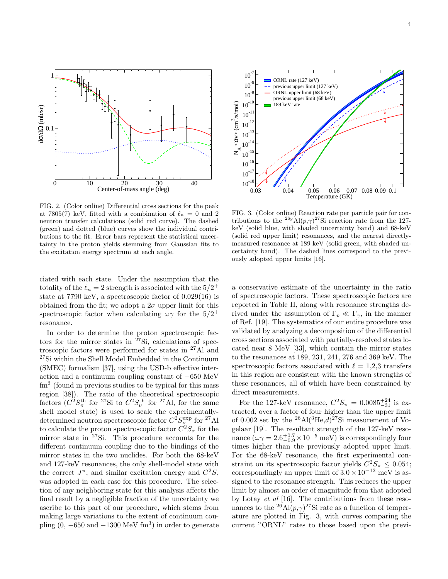

FIG. 2. (Color online) Differential cross sections for the peak at 7805(7) keV, fitted with a combination of  $\ell_n = 0$  and 2 neutron transfer calculations (solid red curve). The dashed (green) and dotted (blue) curves show the individual contributions to the fit. Error bars represent the statistical uncertainty in the proton yields stemming from Gaussian fits to the excitation energy spectrum at each angle.

ciated with each state. Under the assumption that the totality of the  $\ell_n = 2$  strength is associated with the  $5/2^+$ state at 7790 keV, a spectroscopic factor of 0.029(16) is obtained from the fit; we adopt a  $2\sigma$  upper limit for this spectroscopic factor when calculating  $\omega\gamma$  for the  $5/2^+$ resonance.

In order to determine the proton spectroscopic factors for the mirror states in  $27\$ Si, calculations of spectroscopic factors were performed for states in <sup>27</sup>Al and <sup>27</sup>Si within the Shell Model Embedded in the Continuum (SMEC) formalism [37], using the USD-b effective interaction and a continuum coupling constant of −650 MeV fm<sup>3</sup> (found in previous studies to be typical for this mass region [38]). The ratio of the theoretical spectroscopic factors  $(C^2 S_\pi^{\text{th}}$  for <sup>27</sup>Si to  $C^2 S_\nu^{\text{th}}$  for <sup>27</sup>Al, for the same shell model state) is used to scale the experimentallydetermined neutron spectroscopic factor  $C^2 S^{\text{exp}}_\nu$  for <sup>27</sup>Al to calculate the proton spectroscopic factor  $C^2S_{\pi}$  for the mirror state in <sup>27</sup>Si. This procedure accounts for the different continuum coupling due to the bindings of the mirror states in the two nuclides. For both the 68-keV and 127-keV resonances, the only shell-model state with the correct  $J^{\pi}$ , and similar excitation energy and  $C^2S$ , was adopted in each case for this procedure. The selection of any neighboring state for this analysis affects the final result by a negligible fraction of the uncertainty we ascribe to this part of our procedure, which stems from making large variations to the extent of continuum coupling  $(0, -650 \text{ and } -1300 \text{ MeV fm}^3)$  in order to generate



FIG. 3. (Color online) Reaction rate per particle pair for contributions to the <sup>26g</sup>Al $(p,\gamma)^{27}$ Si reaction rate from the 127keV (solid blue, with shaded uncertainty band) and 68-keV (solid red upper limit) resonances, and the nearest directlymeasured resonance at 189 keV (solid green, with shaded uncertainty band). The dashed lines correspond to the previously adopted upper limits [16].

a conservative estimate of the uncertainty in the ratio of spectroscopic factors. These spectroscopic factors are reported in Table II, along with resonance strengths derived under the assumption of  $\Gamma_p \ll \Gamma_\gamma$ , in the manner of Ref. [19]. The systematics of our entire procedure was validated by analyzing a decomposition of the differential cross sections associated with partially-resolved states located near 8 MeV [33], which contain the mirror states to the resonances at 189, 231, 241, 276 and 369 keV. The spectroscopic factors associated with  $\ell = 1,2,3$  transfers in this region are consistent with the known strengths of these resonances, all of which have been constrained by direct measurements.

For the 127-keV resonance,  $C^2S_{\pi} = 0.0085^{+24}_{-31}$  is extracted, over a factor of four higher than the upper limit of 0.002 set by the  $^{26}$ Al( $^{3}$ He, $d$ ) $^{27}$ Si measurement of Vogelaar [19]. The resultant strength of the 127-keV resonance  $(\omega \gamma = 2.6^{+0.7}_{-0.9} \times 10^{-5} \text{ meV})$  is correspondingly four times higher than the previously adopted upper limit. For the 68-keV resonance, the first experimental constraint on its spectroscopic factor yields  $C^2S_{\pi} \leq 0.054$ ; correspondingly an upper limit of  $3.0 \times 10^{-12}$  meV is assigned to the resonance strength. This reduces the upper limit by almost an order of magnitude from that adopted by Lotay et al [16]. The contributions from these resonances to the <sup>26</sup>Al $(p, \gamma)$ <sup>27</sup>Si rate as a function of temperature are plotted in Fig. 3, with curves comparing the current "ORNL" rates to those based upon the previ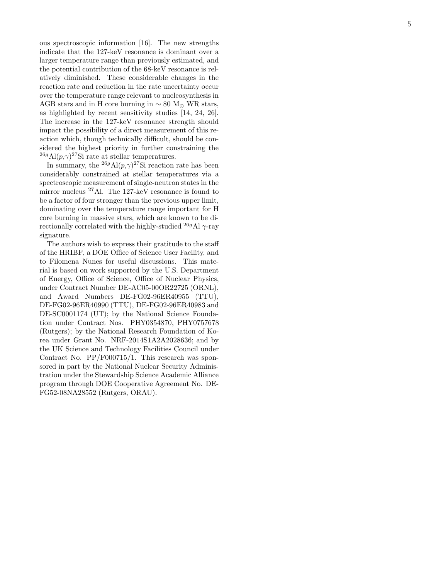ous spectroscopic information [16]. The new strengths indicate that the 127-keV resonance is dominant over a larger temperature range than previously estimated, and the potential contribution of the 68-keV resonance is relatively diminished. These considerable changes in the reaction rate and reduction in the rate uncertainty occur over the temperature range relevant to nucleosynthesis in AGB stars and in H core burning in  $\sim 80$  M<sub>☉</sub> WR stars, as highlighted by recent sensitivity studies [14, 24, 26]. The increase in the 127-keV resonance strength should impact the possibility of a direct measurement of this reaction which, though technically difficult, should be considered the highest priority in further constraining the <sup>26g</sup>Al( $p, \gamma$ )<sup>27</sup>Si rate at stellar temperatures.

In summary, the <sup>26g</sup>Al $(p,\gamma)$ <sup>27</sup>Si reaction rate has been considerably constrained at stellar temperatures via a spectroscopic measurement of single-neutron states in the mirror nucleus <sup>27</sup>Al. The 127-keV resonance is found to be a factor of four stronger than the previous upper limit, dominating over the temperature range important for H core burning in massive stars, which are known to be directionally correlated with the highly-studied  $^{26g}$ Al  $\gamma$ -ray signature.

The authors wish to express their gratitude to the staff of the HRIBF, a DOE Office of Science User Facility, and to Filomena Nunes for useful discussions. This material is based on work supported by the U.S. Department of Energy, Office of Science, Office of Nuclear Physics, under Contract Number DE-AC05-00OR22725 (ORNL), and Award Numbers DE-FG02-96ER40955 (TTU), DE-FG02-96ER40990 (TTU), DE-FG02-96ER40983 and DE-SC0001174 (UT); by the National Science Foundation under Contract Nos. PHY0354870, PHY0757678 (Rutgers); by the National Research Foundation of Korea under Grant No. NRF-2014S1A2A2028636; and by the UK Science and Technology Facilities Council under Contract No. PP/F000715/1. This research was sponsored in part by the National Nuclear Security Administration under the Stewardship Science Academic Alliance program through DOE Cooperative Agreement No. DE-FG52-08NA28552 (Rutgers, ORAU).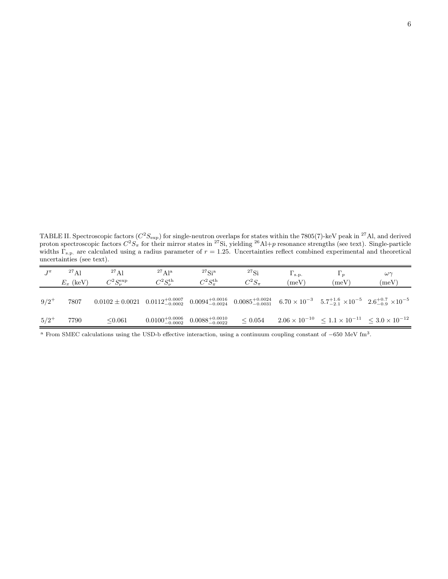TABLE II. Spectroscopic factors  $(C^2S_{\text{exp}})$  for single-neutron overlaps for states within the 7805(7)-keV peak in <sup>27</sup>Al, and derived proton spectroscopic factors  $C^2S_{\pi}$  for their mirror states in <sup>27</sup>Si, yielding <sup>26</sup>Al+p resonance strengths (see text). Single-particle widths  $\Gamma_{\rm s.p.}$  are calculated using a radius parameter of  $r = 1.25$ . Uncertainties reflect combined experimental and theoretical uncertainties (see text).

| $T^{\pi}$ | $^{27}$ Al<br>$E_x$ (keV) | $^{27}$ Al<br>$C^2S_{\nu}^{\textrm{exp}}$                                                                                                                                                                                      | $^{27}$ Al <sup>a</sup><br>$C^2S_{\nu}^{\text{th}}$       | $^{27}$ Si <sup>a</sup><br>$C^2S_{\pi}^{\textrm{th}}$ | ${}^{27}\mathrm{Si}$<br>$C^2S_{\pi}$ | $\Gamma_{\rm s.p.}$<br>(meV) | $\Gamma_p$<br>$(\text{meV})$                                           | $\omega\gamma$<br>(meV) |
|-----------|---------------------------|--------------------------------------------------------------------------------------------------------------------------------------------------------------------------------------------------------------------------------|-----------------------------------------------------------|-------------------------------------------------------|--------------------------------------|------------------------------|------------------------------------------------------------------------|-------------------------|
| $9/2^+$   | 7807                      | $0.0102 \pm 0.0021 \quad 0.0112^{+0.0007}_{-0.0002} \quad 0.0094^{+0.0016}_{-0.0024} \quad 0.0085^{+0.0024}_{-0.0031} \quad 6.70 \times 10^{-3} \quad 5.7^{+1.6}_{-2.1} \times 10^{-5} \quad 2.6^{+0.7}_{-0.9} \times 10^{-5}$ |                                                           |                                                       |                                      |                              |                                                                        |                         |
| $5/2^+$   | 7790                      | < 0.061                                                                                                                                                                                                                        | $0.0100^{+0.0006}_{-0.0002}$ $0.0088^{+0.0010}_{-0.0022}$ |                                                       | < 0.054                              |                              | $2.06 \times 10^{-10} \le 1.1 \times 10^{-11} \le 3.0 \times 10^{-12}$ |                         |

<sup>a</sup> From SMEC calculations using the USD-b effective interaction, using a continuum coupling constant of −650 MeV fm<sup>3</sup> .